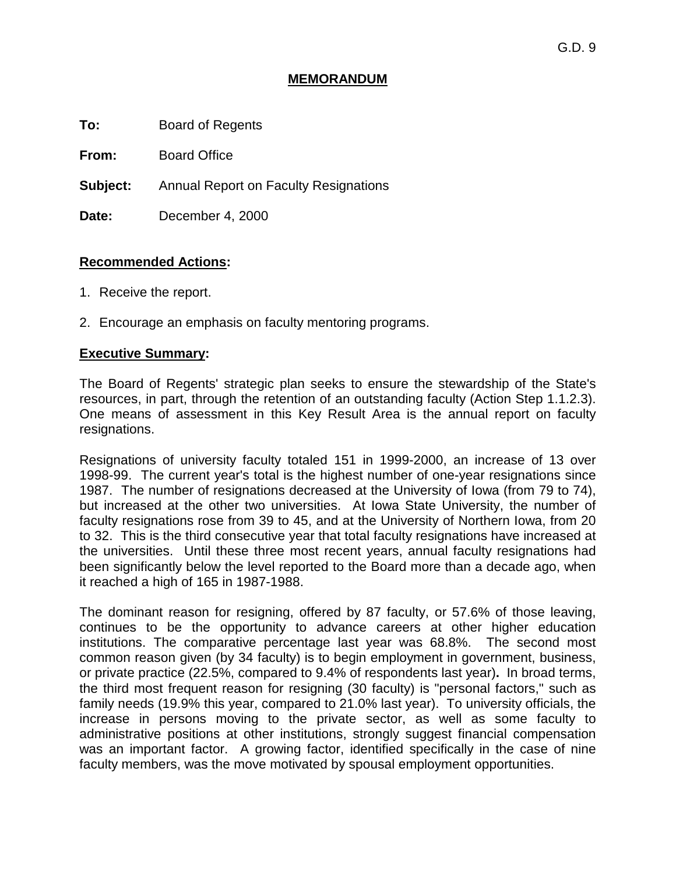## **MEMORANDUM**

**To:** Board of Regents

**From:** Board Office

**Subject:** Annual Report on Faculty Resignations

**Date:** December 4, 2000

## **Recommended Actions:**

- 1. Receive the report.
- 2. Encourage an emphasis on faculty mentoring programs.

## **Executive Summary:**

The Board of Regents' strategic plan seeks to ensure the stewardship of the State's resources, in part, through the retention of an outstanding faculty (Action Step 1.1.2.3). One means of assessment in this Key Result Area is the annual report on faculty resignations.

Resignations of university faculty totaled 151 in 1999-2000, an increase of 13 over 1998-99. The current year's total is the highest number of one-year resignations since 1987. The number of resignations decreased at the University of Iowa (from 79 to 74), but increased at the other two universities. At Iowa State University, the number of faculty resignations rose from 39 to 45, and at the University of Northern Iowa, from 20 to 32. This is the third consecutive year that total faculty resignations have increased at the universities. Until these three most recent years, annual faculty resignations had been significantly below the level reported to the Board more than a decade ago, when it reached a high of 165 in 1987-1988.

The dominant reason for resigning, offered by 87 faculty, or 57.6% of those leaving, continues to be the opportunity to advance careers at other higher education institutions. The comparative percentage last year was 68.8%. The second most common reason given (by 34 faculty) is to begin employment in government, business, or private practice (22.5%, compared to 9.4% of respondents last year)**.** In broad terms, the third most frequent reason for resigning (30 faculty) is "personal factors," such as family needs (19.9% this year, compared to 21.0% last year). To university officials, the increase in persons moving to the private sector, as well as some faculty to administrative positions at other institutions, strongly suggest financial compensation was an important factor. A growing factor, identified specifically in the case of nine faculty members, was the move motivated by spousal employment opportunities.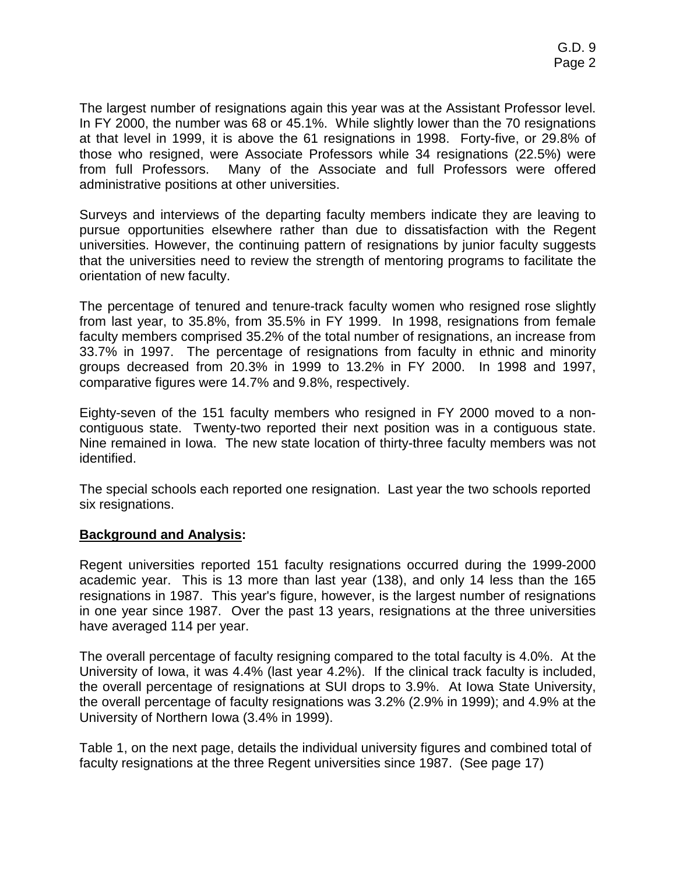The largest number of resignations again this year was at the Assistant Professor level. In FY 2000, the number was 68 or 45.1%. While slightly lower than the 70 resignations at that level in 1999, it is above the 61 resignations in 1998. Forty-five, or 29.8% of those who resigned, were Associate Professors while 34 resignations (22.5%) were from full Professors. Many of the Associate and full Professors were offered administrative positions at other universities.

Surveys and interviews of the departing faculty members indicate they are leaving to pursue opportunities elsewhere rather than due to dissatisfaction with the Regent universities. However, the continuing pattern of resignations by junior faculty suggests that the universities need to review the strength of mentoring programs to facilitate the orientation of new faculty.

The percentage of tenured and tenure-track faculty women who resigned rose slightly from last year, to 35.8%, from 35.5% in FY 1999. In 1998, resignations from female faculty members comprised 35.2% of the total number of resignations, an increase from 33.7% in 1997. The percentage of resignations from faculty in ethnic and minority groups decreased from 20.3% in 1999 to 13.2% in FY 2000. In 1998 and 1997, comparative figures were 14.7% and 9.8%, respectively.

Eighty-seven of the 151 faculty members who resigned in FY 2000 moved to a noncontiguous state. Twenty-two reported their next position was in a contiguous state. Nine remained in Iowa. The new state location of thirty-three faculty members was not identified.

The special schools each reported one resignation. Last year the two schools reported six resignations.

# **Background and Analysis:**

Regent universities reported 151 faculty resignations occurred during the 1999-2000 academic year. This is 13 more than last year (138), and only 14 less than the 165 resignations in 1987. This year's figure, however, is the largest number of resignations in one year since 1987. Over the past 13 years, resignations at the three universities have averaged 114 per year.

The overall percentage of faculty resigning compared to the total faculty is 4.0%. At the University of Iowa, it was 4.4% (last year 4.2%). If the clinical track faculty is included, the overall percentage of resignations at SUI drops to 3.9%. At Iowa State University, the overall percentage of faculty resignations was 3.2% (2.9% in 1999); and 4.9% at the University of Northern Iowa (3.4% in 1999).

Table 1, on the next page, details the individual university figures and combined total of faculty resignations at the three Regent universities since 1987. (See page 17)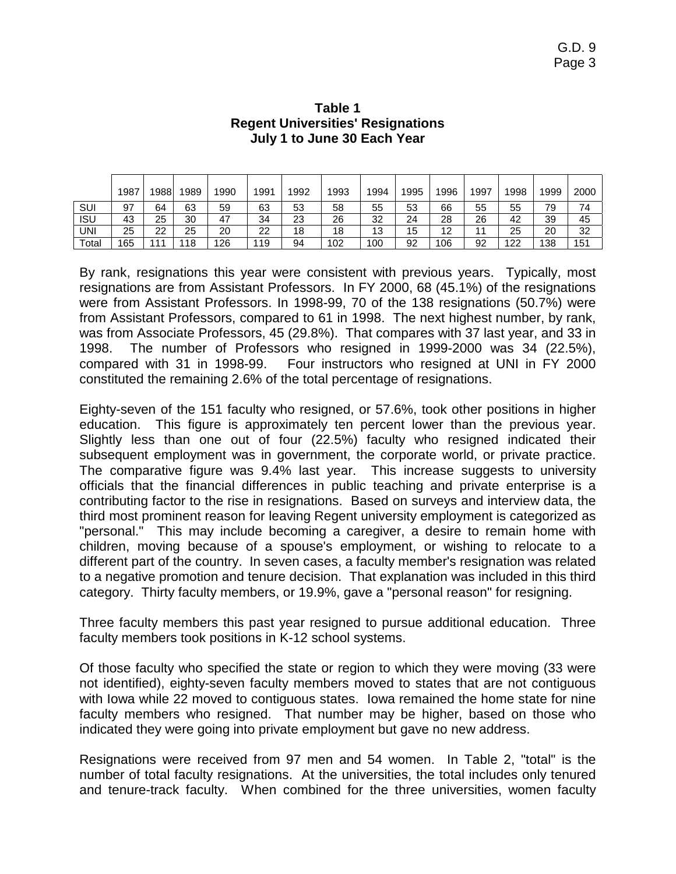|       | 1987 | 1988. | 1989 | 1990 | 1991 | 1992 | 1993 | 1994 | 1995 | 1996 | 1997 | 1998 | 1999 | 2000 |
|-------|------|-------|------|------|------|------|------|------|------|------|------|------|------|------|
| SUI   | 97   | 64    | 63   | 59   | 63   | 53   | 58   | 55   | 53   | 66   | 55   | 55   | 79   | 74   |
| isu   | 43   | 25    | 30   | 47   | 34   | 23   | 26   | 32   | 24   | 28   | 26   | 42   | 39   | 45   |
| UNI   | 25   | 22    | 25   | 20   | 22   | 18   | 18   | 13   | 15   | 12   | 11   | 25   | 20   | 32   |
| Total | 165  | 144   | 118  | 126  | 119  | 94   | 102  | 100  | 92   | 106  | 92   | 122  | 138  | 151  |

#### **Table 1 Regent Universities' Resignations July 1 to June 30 Each Year**

By rank, resignations this year were consistent with previous years. Typically, most resignations are from Assistant Professors. In FY 2000, 68 (45.1%) of the resignations were from Assistant Professors. In 1998-99, 70 of the 138 resignations (50.7%) were from Assistant Professors, compared to 61 in 1998. The next highest number, by rank, was from Associate Professors, 45 (29.8%). That compares with 37 last year, and 33 in 1998. The number of Professors who resigned in 1999-2000 was 34 (22.5%), compared with 31 in 1998-99. Four instructors who resigned at UNI in FY 2000 constituted the remaining 2.6% of the total percentage of resignations.

Eighty-seven of the 151 faculty who resigned, or 57.6%, took other positions in higher education. This figure is approximately ten percent lower than the previous year. Slightly less than one out of four (22.5%) faculty who resigned indicated their subsequent employment was in government, the corporate world, or private practice. The comparative figure was 9.4% last year. This increase suggests to university officials that the financial differences in public teaching and private enterprise is a contributing factor to the rise in resignations. Based on surveys and interview data, the third most prominent reason for leaving Regent university employment is categorized as "personal." This may include becoming a caregiver, a desire to remain home with children, moving because of a spouse's employment, or wishing to relocate to a different part of the country. In seven cases, a faculty member's resignation was related to a negative promotion and tenure decision. That explanation was included in this third category. Thirty faculty members, or 19.9%, gave a "personal reason" for resigning.

Three faculty members this past year resigned to pursue additional education. Three faculty members took positions in K-12 school systems.

Of those faculty who specified the state or region to which they were moving (33 were not identified), eighty-seven faculty members moved to states that are not contiguous with Iowa while 22 moved to contiguous states. Iowa remained the home state for nine faculty members who resigned. That number may be higher, based on those who indicated they were going into private employment but gave no new address.

Resignations were received from 97 men and 54 women. In Table 2, "total" is the number of total faculty resignations. At the universities, the total includes only tenured and tenure-track faculty. When combined for the three universities, women faculty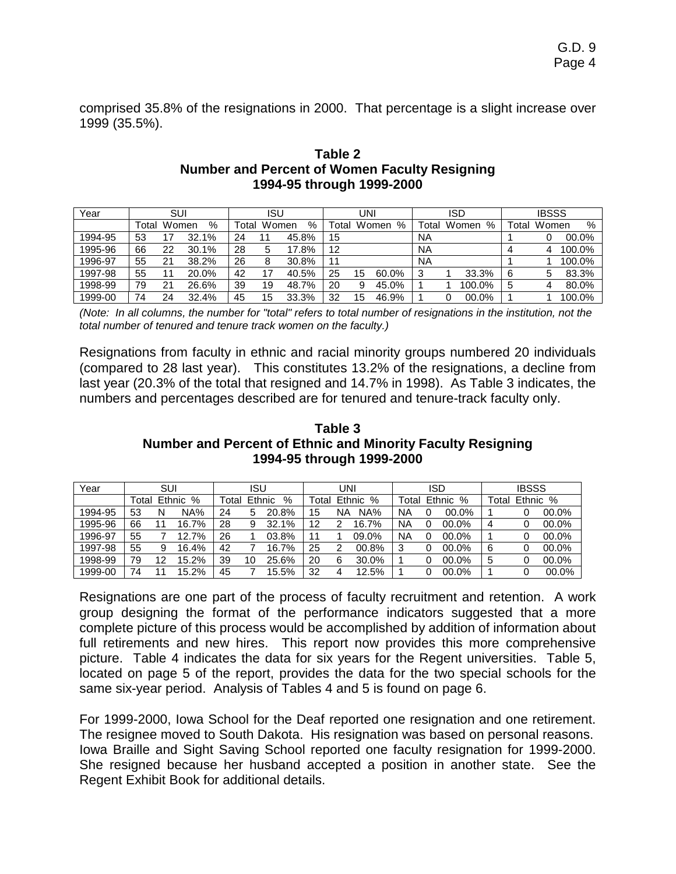comprised 35.8% of the resignations in 2000. That percentage is a slight increase over 1999 (35.5%).

## **Table 2 Number and Percent of Women Faculty Resigning 1994-95 through 1999-2000**

| Year    |       | SUI   |       |       | ISU   |       |       | UNI |            |             | ISD        |             | <b>IBSSS</b> |        |
|---------|-------|-------|-------|-------|-------|-------|-------|-----|------------|-------------|------------|-------------|--------------|--------|
|         | Гоtal | Women | $\%$  | ™otal | Women | %     | ™otal |     | %<br>Women | $\tau$ otal | Women<br>% | $\tau$ otar | Women        | %      |
| 1994-95 | 53    |       | 32.1% | 24    |       | 45.8% | 15    |     |            | NA          |            |             |              | 00.0%  |
| 1995-96 | 66    | 22    | 30.1% | 28    |       | 17.8% | 12    |     |            | NA          |            |             |              | 100.0% |
| 1996-97 | 55    | 21    | 38.2% | 26    |       | 30.8% | 11    |     |            | <b>NA</b>   |            |             |              | 100.0% |
| 1997-98 | 55    |       | 20.0% | 42    |       | 40.5% | 25    | 15  | 60.0%      |             | 33.3%      | 6           |              | 83.3%  |
| 1998-99 | 79    | 21    | 26.6% | 39    | 19    | 48.7% | 20    | 9   | 45.0%      |             | 100.0%     | 5           |              | 80.0%  |
| 1999-00 | 74    | 24    | 32.4% | 45    | 15    | 33.3% | 32    | 15  | 46.9%      |             | 00.0%      |             |              | 100.0% |

*(Note: In all columns, the number for "total" refers to total number of resignations in the institution, not the total number of tenured and tenure track women on the faculty.)* 

Resignations from faculty in ethnic and racial minority groups numbered 20 individuals (compared to 28 last year). This constitutes 13.2% of the resignations, a decline from last year (20.3% of the total that resigned and 14.7% in 1998). As Table 3 indicates, the numbers and percentages described are for tenured and tenure-track faculty only.

#### **Table 3 Number and Percent of Ethnic and Minority Faculty Resigning 1994-95 through 1999-2000**

| Year    |       | SUI |          |    | <b>ISU</b>           |       |    | UNI   |          |       | ISD |          |       | <b>IBSSS</b> |       |
|---------|-------|-----|----------|----|----------------------|-------|----|-------|----------|-------|-----|----------|-------|--------------|-------|
|         | Total |     | Ethnic % |    | Ethnic<br>%<br>Total |       |    | Total | Ethnic % | Total |     | Ethnic % | Total | Ethnic       | %     |
| 1994-95 | 53    |     | NA%      | 24 | 5                    | 20.8% | 15 | NA    | NA%      | ΝA    |     | 00.0%    |       |              | 00.0% |
| 1995-96 | 66    |     | 16.7%    | 28 | 9                    | 32.1% | 12 |       | 16.7%    | ΝA    | 0   | 00.0%    | 4     |              | 00.0% |
| 1996-97 | 55    |     | 12.7%    | 26 |                      | 03.8% | 11 |       | 09.0%    | NA    | 0   | 00.0%    |       |              | 00.0% |
| 1997-98 | 55    |     | 16.4%    | 42 |                      | 16.7% | 25 |       | 00.8%    | 3     | 0   | $00.0\%$ | 6     |              | 00.0% |
| 1998-99 | 79    | 12  | 15.2%    | 39 | 10                   | 25.6% | 20 | 6     | 30.0%    |       | 0   | 00.0%    | 5     |              | 00.0% |
| 1999-00 | 74    |     | 15.2%    | 45 |                      | 15.5% | 32 |       | 12.5%    |       |     | 00.0%    |       |              | 00.0% |

Resignations are one part of the process of faculty recruitment and retention. A work group designing the format of the performance indicators suggested that a more complete picture of this process would be accomplished by addition of information about full retirements and new hires. This report now provides this more comprehensive picture. Table 4 indicates the data for six years for the Regent universities. Table 5, located on page 5 of the report, provides the data for the two special schools for the same six-year period. Analysis of Tables 4 and 5 is found on page 6.

For 1999-2000, Iowa School for the Deaf reported one resignation and one retirement. The resignee moved to South Dakota. His resignation was based on personal reasons. Iowa Braille and Sight Saving School reported one faculty resignation for 1999-2000. She resigned because her husband accepted a position in another state. See the Regent Exhibit Book for additional details.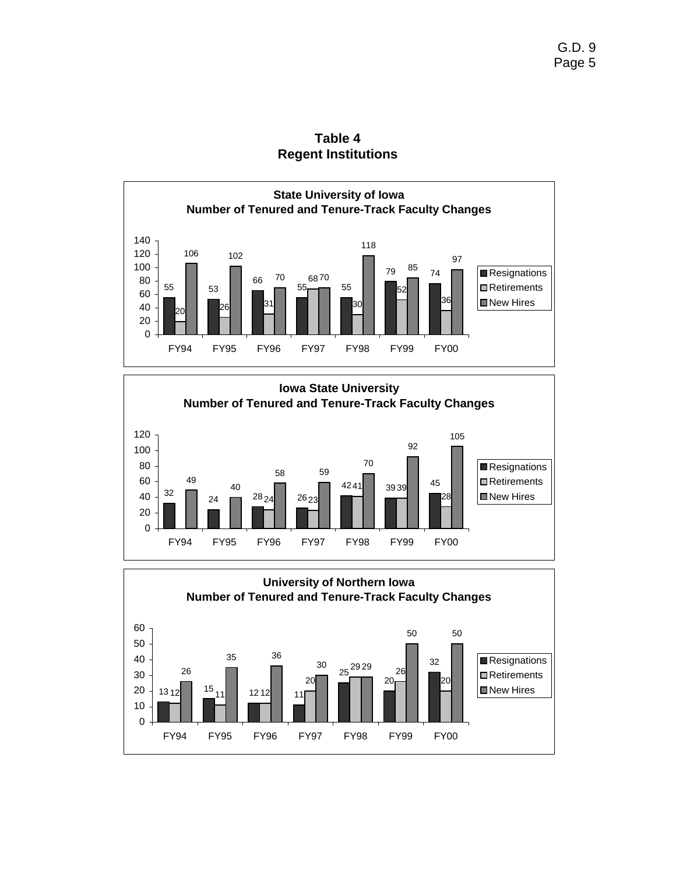

**Table 4 Regent Institutions** 



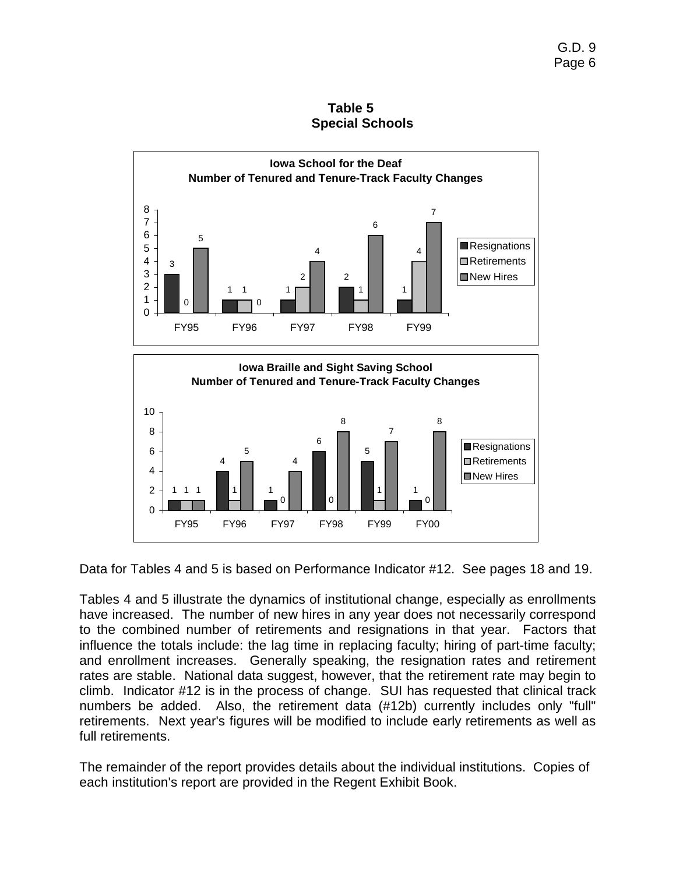**Table 5 Special Schools** 



Data for Tables 4 and 5 is based on Performance Indicator #12. See pages 18 and 19.

1

0

New Hires

1

 $\overline{0}$ 2 4

1

4

1

1 1 1 0 0

FY95 FY96 FY97 FY98 FY99 FY00

4

Tables 4 and 5 illustrate the dynamics of institutional change, especially as enrollments have increased. The number of new hires in any year does not necessarily correspond to the combined number of retirements and resignations in that year. Factors that influence the totals include: the lag time in replacing faculty; hiring of part-time faculty; and enrollment increases. Generally speaking, the resignation rates and retirement rates are stable. National data suggest, however, that the retirement rate may begin to climb. Indicator #12 is in the process of change. SUI has requested that clinical track numbers be added. Also, the retirement data (#12b) currently includes only "full" retirements. Next year's figures will be modified to include early retirements as well as full retirements.

The remainder of the report provides details about the individual institutions. Copies of each institution's report are provided in the Regent Exhibit Book.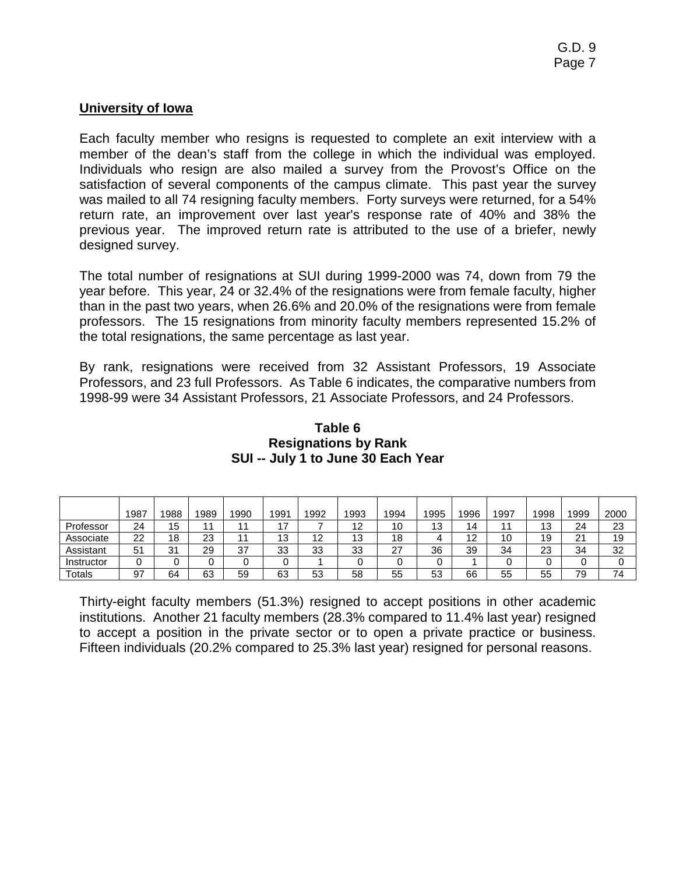# **University of Iowa**

Each faculty member who resigns is requested to complete an exit interview with a member of the dean's staff from the college in which the individual was employed. Individuals who resign are also mailed a survey from the Provost's Office on the satisfaction of several components of the campus climate.This past year the survey was mailed to all 74 resigning faculty members. Forty surveys were returned, for a 54% return rate, an improvement over last year's response rate of 40% and 38% the previous year.The improved return rate is attributed to the use of a briefer, newly designed survey.

The total number of resignations at SUI during 1999-2000 was 74, down from 79 the year before. This year, 24 or 32.4% of the resignations were from female faculty, higher than in the past two years, when 26.6% and 20.0% of the resignations were from female professors. The 15 resignations from minority faculty members represented 15.2% of the total resignations, the same percentage as last year.

By rank, resignations were received from 32 Assistant Professors, 19 Associate Professors, and 23 full Professors. As Table 6 indicates, the comparative numbers from 1998-99 were 34 Assistant Professors, 21 Associate Professors, and 24 Professors.

|              | 1987 | 1988 | 1989     | 1990 | 1991      | 1992 | 1993 | 1994 | 1995 | 1996         | 1997 | 1998          | 1999            | 2000 |
|--------------|------|------|----------|------|-----------|------|------|------|------|--------------|------|---------------|-----------------|------|
| Professor    | 24   | 15   |          |      | . –       |      | 12   | 10   | 13   | 14           |      | $\sim$<br>ں ا | 24              | 23   |
| Associate    | 22   | 18   | ററ<br>∠ა |      | 10<br>ט ו | 12   | 13   | 18   |      | 19<br>$\sim$ | 10   | 19            | $^{\circ}$<br>∠ | 19   |
| Assistant    | 51   | 31   | 29       | 37   | 33        | 33   | 33   | 27   | 36   | 39           | 34   | 23            | 34              | 32   |
| Instructor   |      |      |          |      |           |      |      |      |      |              |      |               |                 |      |
| $\tau$ otals | 97   | 64   | 63       | 59   | 63        | 53   | 58   | 55   | 53   | 66           | 55   | 55            | 79              | 74   |

## **Table 6 Resignations by Rank SUI -- July 1 to June 30 Each Year**

Thirty-eight faculty members (51.3%) resigned to accept positions in other academic institutions. Another 21 faculty members (28.3% compared to 11.4% last year) resigned to accept a position in the private sector or to open a private practice or business. Fifteen individuals (20.2% compared to 25.3% last year) resigned for personal reasons.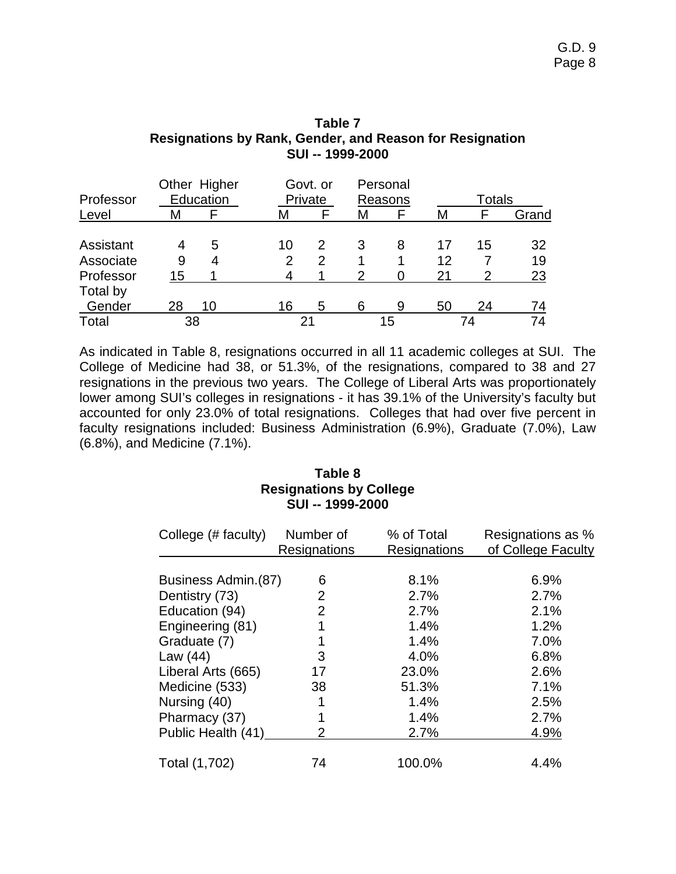| Professor                           |              | Other Higher<br>Education |         | Govt. or<br>Private |                     | Personal<br>Reasons |                | <b>Totals</b>        |                |
|-------------------------------------|--------------|---------------------------|---------|---------------------|---------------------|---------------------|----------------|----------------------|----------------|
| Level                               | M            |                           | М       |                     | Μ                   |                     | М              |                      | Grand          |
| Assistant<br>Associate<br>Professor | 4<br>9<br>15 | 5<br>4                    | 10<br>2 | 2<br>2<br>1         | 3<br>$\overline{2}$ | 8                   | 17<br>12<br>21 | 15<br>$\overline{2}$ | 32<br>19<br>23 |
| Total by                            |              |                           |         |                     |                     |                     |                |                      |                |
| Gender                              | 28           | 10                        | 16      | 5                   | 6                   | 9                   | 50             | 24                   | 74             |
| Total                               |              | 38                        |         | 21                  |                     | 15                  |                | 74                   | 74             |

#### **Table 7 Resignations by Rank, Gender, and Reason for Resignation SUI -- 1999-2000**

As indicated in Table 8, resignations occurred in all 11 academic colleges at SUI. The College of Medicine had 38, or 51.3%, of the resignations, compared to 38 and 27 resignations in the previous two years. The College of Liberal Arts was proportionately lower among SUI's colleges in resignations - it has 39.1% of the University's faculty but accounted for only 23.0% of total resignations. Colleges that had over five percent in faculty resignations included: Business Administration (6.9%), Graduate (7.0%), Law (6.8%), and Medicine (7.1%).

## **Table 8 Resignations by College SUI -- 1999-2000**

| College (# faculty) | Number of<br>Resignations | % of Total<br>Resignations | Resignations as %<br>of College Faculty |
|---------------------|---------------------------|----------------------------|-----------------------------------------|
|                     |                           |                            |                                         |
| Business Admin.(87) | 6                         | 8.1%                       | 6.9%                                    |
| Dentistry (73)      | $\overline{2}$            | 2.7%                       | 2.7%                                    |
| Education (94)      | $\overline{2}$            | 2.7%                       | 2.1%                                    |
| Engineering (81)    | 1                         | 1.4%                       | 1.2%                                    |
| Graduate (7)        |                           | 1.4%                       | 7.0%                                    |
| Law (44)            | 3                         | 4.0%                       | 6.8%                                    |
| Liberal Arts (665)  | 17                        | 23.0%                      | 2.6%                                    |
| Medicine (533)      | 38                        | 51.3%                      | 7.1%                                    |
| Nursing (40)        |                           | 1.4%                       | 2.5%                                    |
| Pharmacy (37)       |                           | 1.4%                       | 2.7%                                    |
| Public Health (41)  | $\overline{2}$            | 2.7%                       | 4.9%                                    |
| Total (1,702)       | 74                        | 100.0%                     | 4.4%                                    |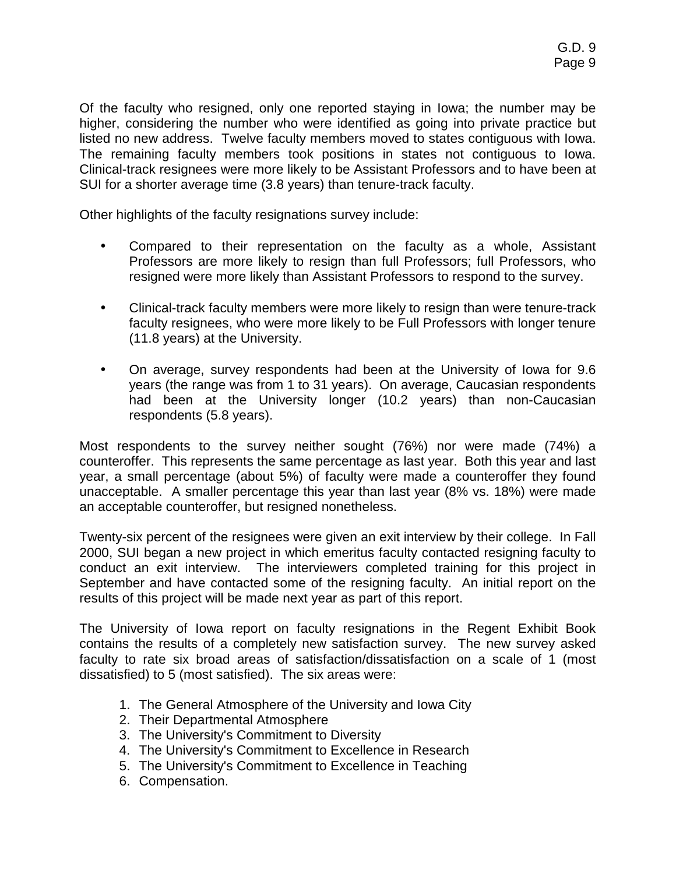Of the faculty who resigned, only one reported staying in Iowa; the number may be higher, considering the number who were identified as going into private practice but listed no new address. Twelve faculty members moved to states contiguous with Iowa. The remaining faculty members took positions in states not contiguous to Iowa. Clinical-track resignees were more likely to be Assistant Professors and to have been at SUI for a shorter average time (3.8 years) than tenure-track faculty.

Other highlights of the faculty resignations survey include:

- Compared to their representation on the faculty as a whole, Assistant Professors are more likely to resign than full Professors; full Professors, who resigned were more likely than Assistant Professors to respond to the survey.
- Clinical-track faculty members were more likely to resign than were tenure-track faculty resignees, who were more likely to be Full Professors with longer tenure (11.8 years) at the University.
- On average, survey respondents had been at the University of Iowa for 9.6 years (the range was from 1 to 31 years). On average, Caucasian respondents had been at the University longer (10.2 years) than non-Caucasian respondents (5.8 years).

Most respondents to the survey neither sought (76%) nor were made (74%) a counteroffer. This represents the same percentage as last year. Both this year and last year, a small percentage (about 5%) of faculty were made a counteroffer they found unacceptable. A smaller percentage this year than last year (8% vs. 18%) were made an acceptable counteroffer, but resigned nonetheless.

Twenty-six percent of the resignees were given an exit interview by their college. In Fall 2000, SUI began a new project in which emeritus faculty contacted resigning faculty to conduct an exit interview. The interviewers completed training for this project in September and have contacted some of the resigning faculty. An initial report on the results of this project will be made next year as part of this report.

The University of Iowa report on faculty resignations in the Regent Exhibit Book contains the results of a completely new satisfaction survey. The new survey asked faculty to rate six broad areas of satisfaction/dissatisfaction on a scale of 1 (most dissatisfied) to 5 (most satisfied). The six areas were:

- 1. The General Atmosphere of the University and Iowa City
- 2. Their Departmental Atmosphere
- 3. The University's Commitment to Diversity
- 4. The University's Commitment to Excellence in Research
- 5. The University's Commitment to Excellence in Teaching
- 6. Compensation.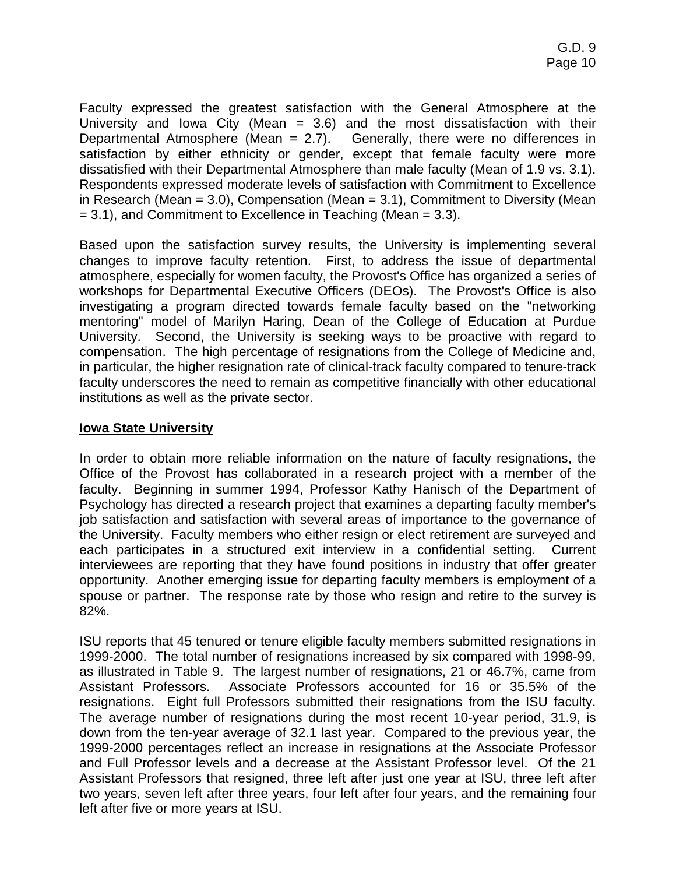Faculty expressed the greatest satisfaction with the General Atmosphere at the University and Iowa City (Mean  $= 3.6$ ) and the most dissatisfaction with their Departmental Atmosphere (Mean  $= 2.7$ ). Generally, there were no differences in satisfaction by either ethnicity or gender, except that female faculty were more dissatisfied with their Departmental Atmosphere than male faculty (Mean of 1.9 vs. 3.1). Respondents expressed moderate levels of satisfaction with Commitment to Excellence in Research (Mean = 3.0), Compensation (Mean = 3.1), Commitment to Diversity (Mean  $= 3.1$ ), and Commitment to Excellence in Teaching (Mean  $= 3.3$ ).

Based upon the satisfaction survey results, the University is implementing several changes to improve faculty retention. First, to address the issue of departmental atmosphere, especially for women faculty, the Provost's Office has organized a series of workshops for Departmental Executive Officers (DEOs). The Provost's Office is also investigating a program directed towards female faculty based on the "networking mentoring" model of Marilyn Haring, Dean of the College of Education at Purdue University. Second, the University is seeking ways to be proactive with regard to compensation. The high percentage of resignations from the College of Medicine and, in particular, the higher resignation rate of clinical-track faculty compared to tenure-track faculty underscores the need to remain as competitive financially with other educational institutions as well as the private sector.

## **Iowa State University**

In order to obtain more reliable information on the nature of faculty resignations, the Office of the Provost has collaborated in a research project with a member of the faculty. Beginning in summer 1994, Professor Kathy Hanisch of the Department of Psychology has directed a research project that examines a departing faculty member's job satisfaction and satisfaction with several areas of importance to the governance of the University. Faculty members who either resign or elect retirement are surveyed and each participates in a structured exit interview in a confidential setting. Current interviewees are reporting that they have found positions in industry that offer greater opportunity. Another emerging issue for departing faculty members is employment of a spouse or partner. The response rate by those who resign and retire to the survey is 82%.

ISU reports that 45 tenured or tenure eligible faculty members submitted resignations in 1999-2000. The total number of resignations increased by six compared with 1998-99, as illustrated in Table 9. The largest number of resignations, 21 or 46.7%, came from Assistant Professors. Associate Professors accounted for 16 or 35.5% of the resignations. Eight full Professors submitted their resignations from the ISU faculty. The average number of resignations during the most recent 10-year period, 31.9, is down from the ten-year average of 32.1 last year. Compared to the previous year, the 1999-2000 percentages reflect an increase in resignations at the Associate Professor and Full Professor levels and a decrease at the Assistant Professor level. Of the 21 Assistant Professors that resigned, three left after just one year at ISU, three left after two years, seven left after three years, four left after four years, and the remaining four left after five or more years at ISU.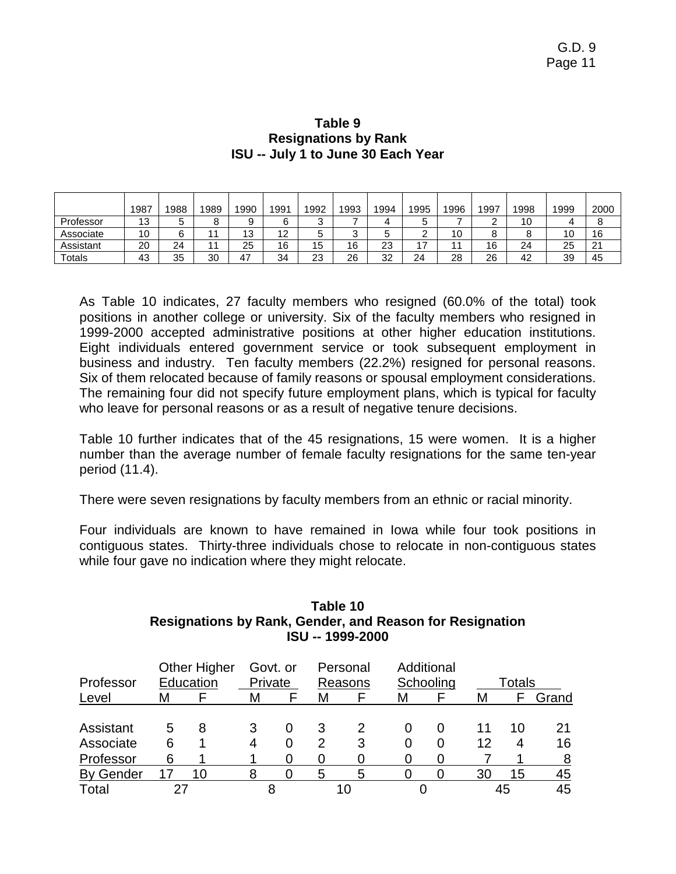|           | 1987 | 1988 | 1989           | 1990 | 1991 | 1992        | 1993   | 1994 | 1995   | 1996 | 1997 | 1998 | 1999 | 2000 |
|-----------|------|------|----------------|------|------|-------------|--------|------|--------|------|------|------|------|------|
| Professor | 13   | 5    | O<br>ပ         | 9    | 6    | $\sim$<br>J |        | 4    | 5      |      | _    | 10   |      | o    |
| Associate | 10   | 6    |                | 13   | 12   | ∽<br>J      | ⌒<br>ັ | 5    | ◠<br>_ | 10   |      | o    | 10   | 16   |
| Assistant | 20   | 24   | 1 <sub>1</sub> | 25   | 16   | 15          | 16     | 23   | 17     |      | 16   | 24   | 25   | 21   |
| Totals    | 43   | 35   | 30             | 47   | 34   | 23          | 26     | 32   | 24     | 28   | 26   | 42   | 39   | 45   |

## **Table 9 Resignations by Rank ISU -- July 1 to June 30 Each Year**

As Table 10 indicates, 27 faculty members who resigned (60.0% of the total) took positions in another college or university. Six of the faculty members who resigned in 1999-2000 accepted administrative positions at other higher education institutions. Eight individuals entered government service or took subsequent employment in business and industry. Ten faculty members (22.2%) resigned for personal reasons. Six of them relocated because of family reasons or spousal employment considerations. The remaining four did not specify future employment plans, which is typical for faculty who leave for personal reasons or as a result of negative tenure decisions.

Table 10 further indicates that of the 45 resignations, 15 were women. It is a higher number than the average number of female faculty resignations for the same ten-year period (11.4).

There were seven resignations by faculty members from an ethnic or racial minority.

Four individuals are known to have remained in Iowa while four took positions in contiguous states. Thirty-three individuals chose to relocate in non-contiguous states while four gave no indication where they might relocate.

| Professor        |   | <b>Other Higher</b><br>Education | Private | Govt. or |   | Personal<br>Reasons |   | Additional<br>Schooling |    | Totals |       |
|------------------|---|----------------------------------|---------|----------|---|---------------------|---|-------------------------|----|--------|-------|
| Level            | м |                                  | М       |          | М |                     | М |                         | М  |        | Grand |
| Assistant        | 5 | 8                                | 3       |          | 3 |                     | O | O                       |    | 10     | 21    |
| Associate        | 6 |                                  |         | 0        | 2 | 3                   |   |                         | 12 |        | 16    |
| Professor        | 6 |                                  |         |          |   |                     |   |                         |    |        | 8     |
| <b>By Gender</b> |   | 1በ                               |         |          | 5 | 5                   |   |                         | 30 | 15     | 45    |
| Total            |   |                                  |         |          |   |                     |   |                         |    | 45     | 45    |

## **Table 10 Resignations by Rank, Gender, and Reason for Resignation ISU -- 1999-2000**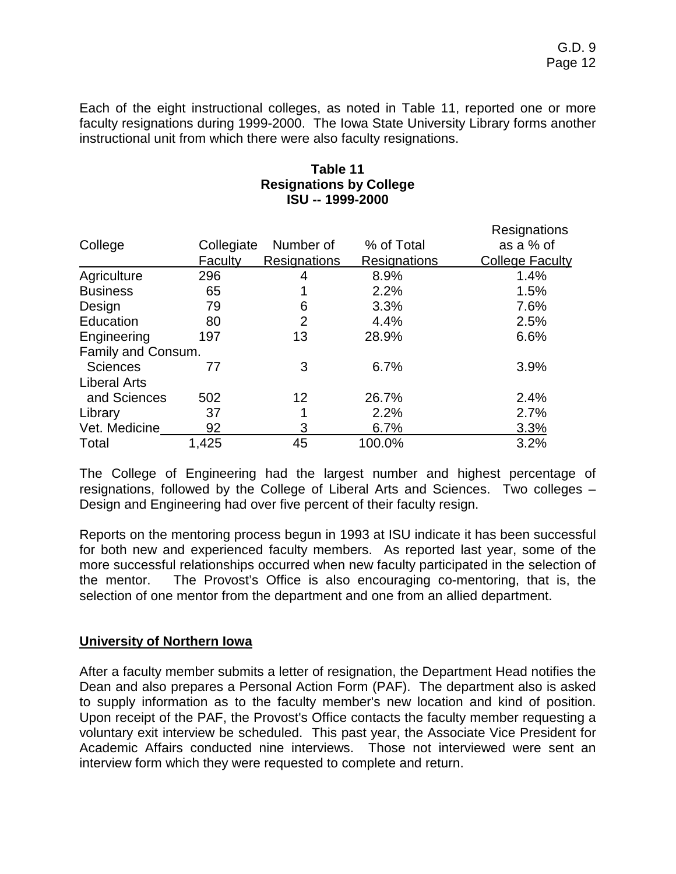Each of the eight instructional colleges, as noted in Table 11, reported one or more faculty resignations during 1999-2000. The Iowa State University Library forms another instructional unit from which there were also faculty resignations.

# **Table 11 Resignations by College ISU -- 1999-2000**

|                     |            |                     |              | Resignations           |
|---------------------|------------|---------------------|--------------|------------------------|
| College             | Collegiate | Number of           | % of Total   | as a % of              |
|                     | Faculty    | <b>Resignations</b> | Resignations | <b>College Faculty</b> |
| Agriculture         | 296        |                     | 8.9%         | 1.4%                   |
| <b>Business</b>     | 65         |                     | 2.2%         | 1.5%                   |
| Design              | 79         | 6                   | 3.3%         | 7.6%                   |
| Education           | 80         | 2                   | 4.4%         | 2.5%                   |
| Engineering         | 197        | 13                  | 28.9%        | 6.6%                   |
| Family and Consum.  |            |                     |              |                        |
| <b>Sciences</b>     | 77         | 3                   | 6.7%         | 3.9%                   |
| <b>Liberal Arts</b> |            |                     |              |                        |
| and Sciences        | 502        | 12                  | 26.7%        | 2.4%                   |
| Library             | 37         |                     | 2.2%         | 2.7%                   |
| Vet. Medicine       | 92         | 3                   | 6.7%         | 3.3%                   |
| Total               | 1,425      | 45                  | 100.0%       | 3.2%                   |

The College of Engineering had the largest number and highest percentage of resignations, followed by the College of Liberal Arts and Sciences. Two colleges – Design and Engineering had over five percent of their faculty resign.

Reports on the mentoring process begun in 1993 at ISU indicate it has been successful for both new and experienced faculty members. As reported last year, some of the more successful relationships occurred when new faculty participated in the selection of the mentor. The Provost's Office is also encouraging co-mentoring, that is, the selection of one mentor from the department and one from an allied department.

# **University of Northern Iowa**

After a faculty member submits a letter of resignation, the Department Head notifies the Dean and also prepares a Personal Action Form (PAF). The department also is asked to supply information as to the faculty member's new location and kind of position. Upon receipt of the PAF, the Provost's Office contacts the faculty member requesting a voluntary exit interview be scheduled. This past year, the Associate Vice President for Academic Affairs conducted nine interviews. Those not interviewed were sent an interview form which they were requested to complete and return.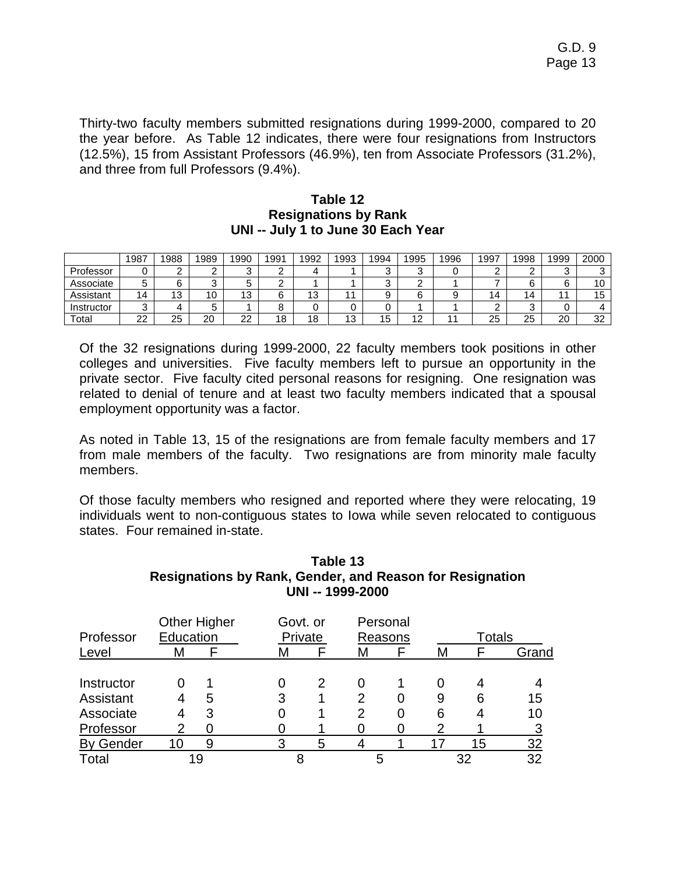Thirty-two faculty members submitted resignations during 1999-2000, compared to 20 the year before. As Table 12 indicates, there were four resignations from Instructors (12.5%), 15 from Assistant Professors (46.9%), ten from Associate Professors (31.2%), and three from full Professors (9.4%).

#### **Table 12 Resignations by Rank UNI -- July 1 to June 30 Each Year**

|            | 1987    | 1988 | 1989   | 1990            | 1991 | 1992 | 1993                | 1994   | 1995   | 1996 | 1997 | 1998           | 1999   | 2000         |
|------------|---------|------|--------|-----------------|------|------|---------------------|--------|--------|------|------|----------------|--------|--------------|
| Professor  |         |      | ⌒<br>- |                 | ⌒    |      |                     | ົ<br>◟ | ◠<br>J |      |      |                | ◠<br>ີ |              |
| Associate  |         |      | ⌒<br>J |                 | ⌒    |      |                     | ⌒<br>╰ | ◠      |      |      |                | ⌒      | 10           |
| Assistant  | 14      | 13   | 10     | $\sqrt{2}$<br>J | ⌒    | 13   |                     |        | ⌒      |      | 14   | $\overline{4}$ |        | 15           |
| Instructor | ⌒       |      | ັ      |                 |      |      |                     |        |        |      |      |                |        |              |
| Total      | nn<br>" | 25   | 20     | nn<br><u>__</u> | 18   | 18   | $\overline{ }$<br>◡ | 15     | 12     |      | 25   | 25             | 20     | $\sim$<br>32 |

Of the 32 resignations during 1999-2000, 22 faculty members took positions in other colleges and universities. Five faculty members left to pursue an opportunity in the private sector. Five faculty cited personal reasons for resigning. One resignation was related to denial of tenure and at least two faculty members indicated that a spousal employment opportunity was a factor.

As noted in Table 13, 15 of the resignations are from female faculty members and 17 from male members of the faculty. Two resignations are from minority male faculty members.

Of those faculty members who resigned and reported where they were relocating, 19 individuals went to non-contiguous states to Iowa while seven relocated to contiguous states. Four remained in-state.

| Table 13                                                        |
|-----------------------------------------------------------------|
| <b>Resignations by Rank, Gender, and Reason for Resignation</b> |
| UNI -- 1999-2000                                                |
|                                                                 |

| Professor        | Education | <b>Other Higher</b> |   | Govt. or<br>Private |   | Personal<br>Reasons |   | <b>Totals</b> |       |
|------------------|-----------|---------------------|---|---------------------|---|---------------------|---|---------------|-------|
| Level            | M         |                     | M |                     | M |                     | M |               | Grand |
| Instructor       |           |                     | 0 |                     | 0 |                     |   |               |       |
| Assistant        |           | 5                   | 3 |                     | 2 |                     |   | 6             | 15    |
| Associate        |           | 3                   |   |                     | 2 | 0                   | Բ |               | 10    |
| Professor        | 2         |                     |   |                     |   |                     |   |               |       |
| <b>By Gender</b> | 10        | 9                   | 3 | 5                   |   |                     |   | 15            | 32    |
| Total            |           | 19                  |   |                     | 5 |                     |   | 32            | 32    |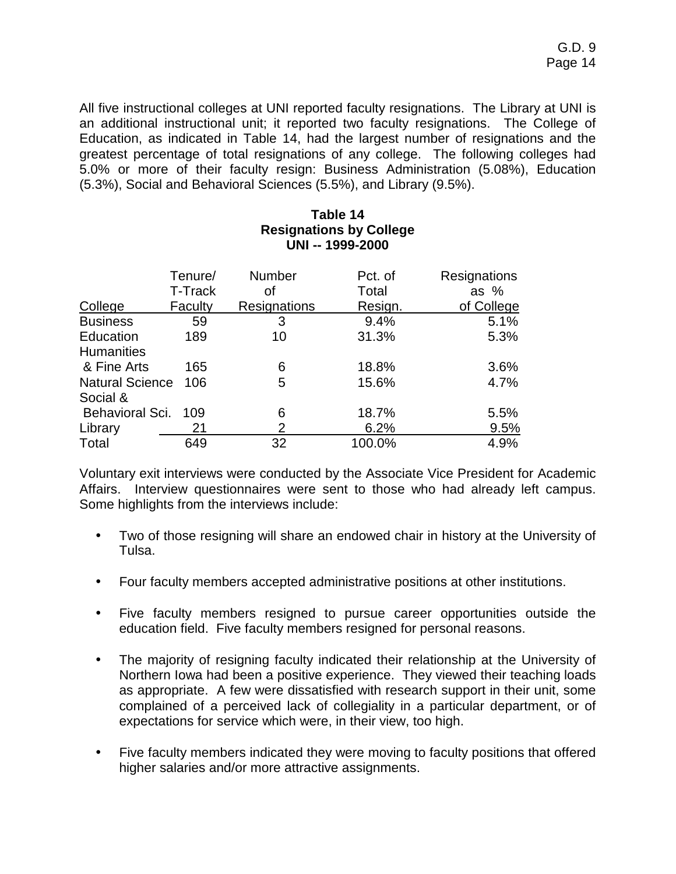All five instructional colleges at UNI reported faculty resignations. The Library at UNI is an additional instructional unit; it reported two faculty resignations. The College of Education, as indicated in Table 14, had the largest number of resignations and the greatest percentage of total resignations of any college. The following colleges had 5.0% or more of their faculty resign: Business Administration (5.08%), Education (5.3%), Social and Behavioral Sciences (5.5%), and Library (9.5%).

|                                    |                    |              | <b>Resignations by College</b><br>UNI -- 1999-2000 |                        |
|------------------------------------|--------------------|--------------|----------------------------------------------------|------------------------|
|                                    | Tenure/<br>T-Track | Number<br>οf | Pct. of<br>Total                                   | Resignations<br>as $%$ |
| College                            | Faculty            | Resignations | Resign.                                            | of College             |
| <b>Business</b>                    | 59                 | 3            | 9.4%                                               | 5.1%                   |
| Education<br><b>Humanities</b>     | 189                | 10           | 31.3%                                              | 5.3%                   |
| & Fine Arts                        | 165                | 6            | 18.8%                                              | 3.6%                   |
| <b>Natural Science</b><br>Social & | 106                | 5            | 15.6%                                              | 4.7%                   |
| Behavioral Sci.                    | 109                | 6            | 18.7%                                              | 5.5%                   |
| Library                            | 21                 | 2            | 6.2%                                               | 9.5%                   |
| Total                              | 649                | 32           | 100.0%                                             | 4.9%                   |

# **Table 14**

Voluntary exit interviews were conducted by the Associate Vice President for Academic Affairs. Interview questionnaires were sent to those who had already left campus. Some highlights from the interviews include:

- Two of those resigning will share an endowed chair in history at the University of Tulsa.
- Four faculty members accepted administrative positions at other institutions.
- Five faculty members resigned to pursue career opportunities outside the education field. Five faculty members resigned for personal reasons.
- The majority of resigning faculty indicated their relationship at the University of Northern Iowa had been a positive experience. They viewed their teaching loads as appropriate. A few were dissatisfied with research support in their unit, some complained of a perceived lack of collegiality in a particular department, or of expectations for service which were, in their view, too high.
- Five faculty members indicated they were moving to faculty positions that offered higher salaries and/or more attractive assignments.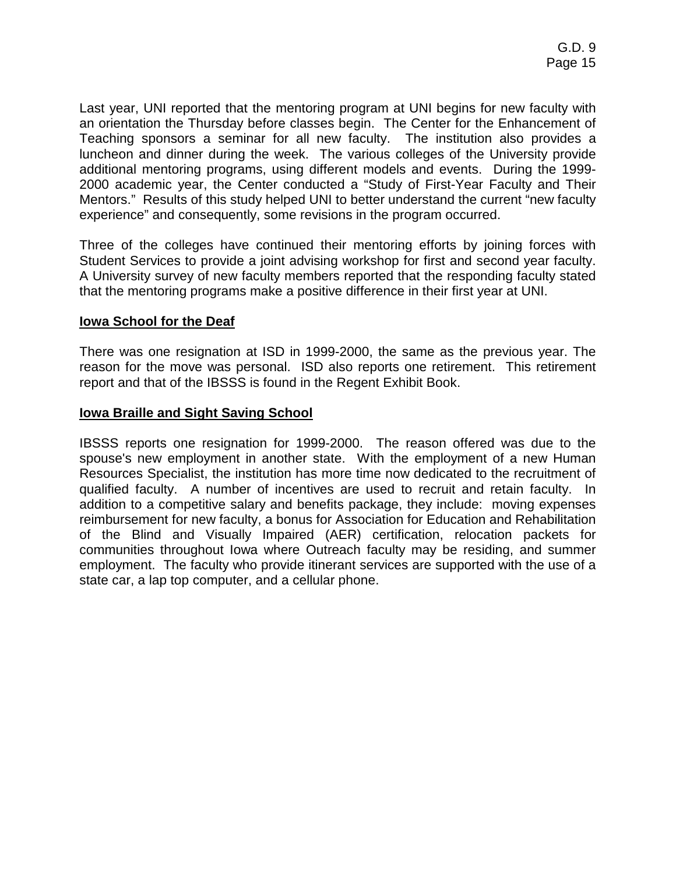Last year, UNI reported that the mentoring program at UNI begins for new faculty with an orientation the Thursday before classes begin. The Center for the Enhancement of Teaching sponsors a seminar for all new faculty. The institution also provides a luncheon and dinner during the week. The various colleges of the University provide additional mentoring programs, using different models and events. During the 1999- 2000 academic year, the Center conducted a "Study of First-Year Faculty and Their Mentors." Results of this study helped UNI to better understand the current "new faculty experience" and consequently, some revisions in the program occurred.

Three of the colleges have continued their mentoring efforts by joining forces with Student Services to provide a joint advising workshop for first and second year faculty. A University survey of new faculty members reported that the responding faculty stated that the mentoring programs make a positive difference in their first year at UNI.

## **Iowa School for the Deaf**

There was one resignation at ISD in 1999-2000, the same as the previous year. The reason for the move was personal. ISD also reports one retirement. This retirement report and that of the IBSSS is found in the Regent Exhibit Book.

## **Iowa Braille and Sight Saving School**

IBSSS reports one resignation for 1999-2000. The reason offered was due to the spouse's new employment in another state. With the employment of a new Human Resources Specialist, the institution has more time now dedicated to the recruitment of qualified faculty. A number of incentives are used to recruit and retain faculty. In addition to a competitive salary and benefits package, they include: moving expenses reimbursement for new faculty, a bonus for Association for Education and Rehabilitation of the Blind and Visually Impaired (AER) certification, relocation packets for communities throughout Iowa where Outreach faculty may be residing, and summer employment. The faculty who provide itinerant services are supported with the use of a state car, a lap top computer, and a cellular phone.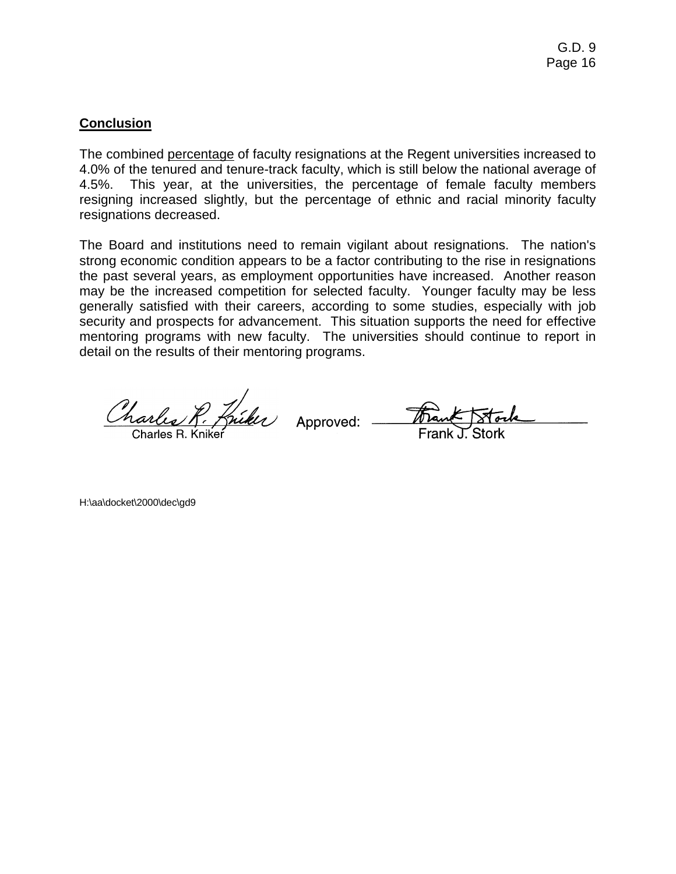# **Conclusion**

The combined percentage of faculty resignations at the Regent universities increased to 4.0% of the tenured and tenure-track faculty, which is still below the national average of 4.5%. This year, at the universities, the percentage of female faculty members resigning increased slightly, but the percentage of ethnic and racial minority faculty resignations decreased.

The Board and institutions need to remain vigilant about resignations. The nation's strong economic condition appears to be a factor contributing to the rise in resignations the past several years, as employment opportunities have increased. Another reason may be the increased competition for selected faculty. Younger faculty may be less generally satisfied with their careers, according to some studies, especially with job security and prospects for advancement. This situation supports the need for effective mentoring programs with new faculty. The universities should continue to report in detail on the results of their mentoring programs.

Charles R. Kniker Approved: Frank Stock

H:\aa\docket\2000\dec\gd9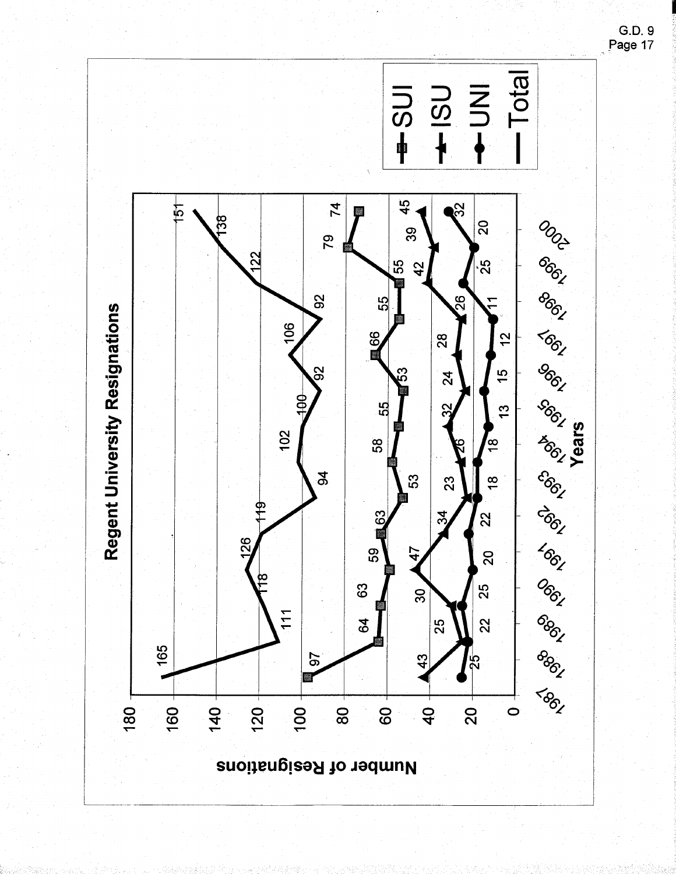

G.D. 9<br>Page 17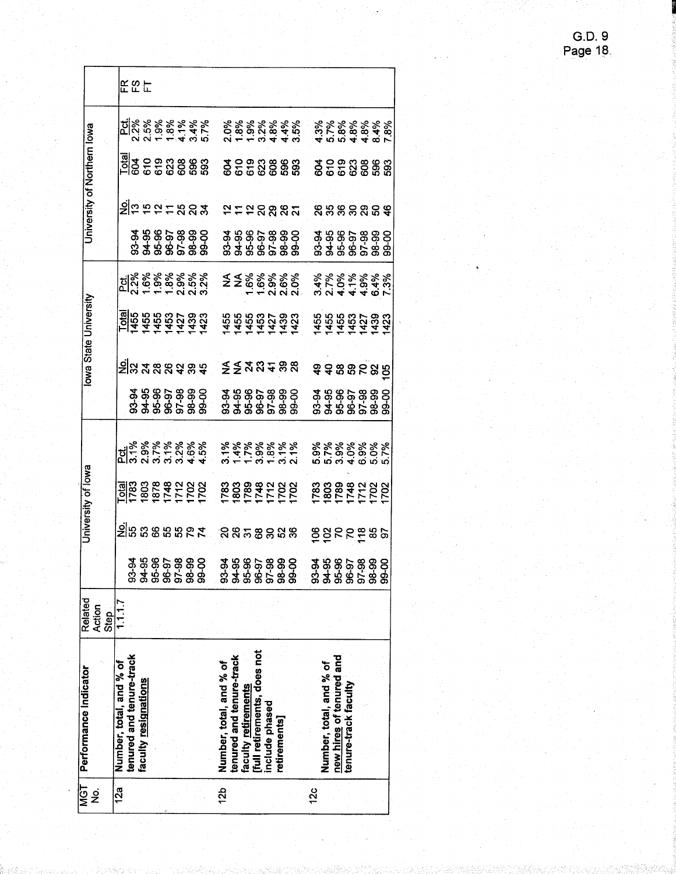| <b>TSV</b>      | Performance Indicator       | Related |                                            |                               | University of lowa         |                                                         |                                                |                                 | Iowa State University                  |                                                                                                                                                                                                                                                                                                                     |                                                      | University of Northern lowa      |                                                               |            |
|-----------------|-----------------------------|---------|--------------------------------------------|-------------------------------|----------------------------|---------------------------------------------------------|------------------------------------------------|---------------------------------|----------------------------------------|---------------------------------------------------------------------------------------------------------------------------------------------------------------------------------------------------------------------------------------------------------------------------------------------------------------------|------------------------------------------------------|----------------------------------|---------------------------------------------------------------|------------|
| ġ               |                             | Action  |                                            |                               |                            |                                                         |                                                |                                 |                                        |                                                                                                                                                                                                                                                                                                                     |                                                      |                                  |                                                               |            |
|                 |                             | Step.   |                                            |                               |                            |                                                         |                                                |                                 |                                        |                                                                                                                                                                                                                                                                                                                     |                                                      |                                  |                                                               |            |
| 12a             | Number, total, and % of     | 1.1.7   |                                            |                               |                            |                                                         |                                                |                                 |                                        |                                                                                                                                                                                                                                                                                                                     |                                                      |                                  |                                                               |            |
|                 | tenured and tenure-track    |         |                                            |                               |                            |                                                         |                                                |                                 |                                        |                                                                                                                                                                                                                                                                                                                     |                                                      |                                  |                                                               |            |
|                 | faculty resignations        |         | \$\$\$\$\$\$\$<br>\$\$\$\$\$\$\$\$         |                               |                            |                                                         |                                                |                                 |                                        |                                                                                                                                                                                                                                                                                                                     |                                                      |                                  |                                                               | <b>EEE</b> |
|                 |                             |         |                                            |                               |                            |                                                         |                                                |                                 |                                        |                                                                                                                                                                                                                                                                                                                     |                                                      |                                  |                                                               |            |
|                 |                             |         |                                            |                               |                            |                                                         |                                                |                                 |                                        |                                                                                                                                                                                                                                                                                                                     |                                                      |                                  |                                                               |            |
|                 |                             |         |                                            |                               |                            |                                                         |                                                |                                 |                                        |                                                                                                                                                                                                                                                                                                                     |                                                      |                                  |                                                               |            |
|                 |                             |         |                                            |                               |                            |                                                         |                                                |                                 |                                        |                                                                                                                                                                                                                                                                                                                     |                                                      |                                  |                                                               |            |
|                 |                             |         | 0-0G                                       | <u>≥នៃឧទនឧត្ដិ ខេត្តខ្ពសន</u> |                            |                                                         | \$\$\$\$\$\$\$<br>\$\$\$\$\$\$<br>\$\$\$\$\$\$ | <u>ချီမှ 4 မှ မှ မှ မှ မှ ခ</u> | <u>dar</u><br>1455 821<br>1454 921 923 | $\frac{1}{2}$ $\frac{1}{2}$ $\frac{1}{2}$ $\frac{1}{2}$ $\frac{1}{2}$ $\frac{1}{2}$ $\frac{1}{2}$ $\frac{1}{2}$ $\frac{1}{2}$ $\frac{1}{2}$ $\frac{1}{2}$ $\frac{1}{2}$ $\frac{1}{2}$ $\frac{1}{2}$ $\frac{1}{2}$ $\frac{1}{2}$ $\frac{1}{2}$ $\frac{1}{2}$ $\frac{1}{2}$ $\frac{1}{2}$ $\frac{1}{2}$ $\frac{1}{2}$ | 93-96<br>94-96-96<br>95-96-96<br>95-96-96            | <u>ချို့သုံး မောင်းမှာ မြို့</u> | <u>la</u><br>  1990 0 0 0 0 0 0 0 0 0<br>  1990 0 0 0 0 0 0 0 |            |
|                 |                             |         |                                            |                               |                            |                                                         |                                                |                                 |                                        |                                                                                                                                                                                                                                                                                                                     |                                                      |                                  |                                                               |            |
| 12 <sub>b</sub> | Number, total, and % of     |         | 93-9                                       |                               |                            |                                                         |                                                |                                 |                                        |                                                                                                                                                                                                                                                                                                                     |                                                      |                                  |                                                               |            |
|                 | tenured and tenure-track    |         | $94 - 9$                                   |                               |                            |                                                         |                                                |                                 |                                        |                                                                                                                                                                                                                                                                                                                     |                                                      |                                  |                                                               |            |
|                 | faculty retirements         |         |                                            |                               |                            |                                                         |                                                |                                 |                                        |                                                                                                                                                                                                                                                                                                                     |                                                      |                                  |                                                               |            |
|                 | [full retirements, does not |         |                                            |                               |                            |                                                         |                                                |                                 |                                        |                                                                                                                                                                                                                                                                                                                     |                                                      |                                  |                                                               |            |
|                 | include phased              |         |                                            |                               |                            |                                                         |                                                |                                 |                                        |                                                                                                                                                                                                                                                                                                                     |                                                      |                                  |                                                               |            |
|                 | <b>retirements</b>          |         | \$\$\$\$\$\$<br>\$\$\$\$\$<br>\$\$\$\$\$\$ |                               |                            |                                                         |                                                | ิ ≨≨สส∓≋ឌ                       |                                        |                                                                                                                                                                                                                                                                                                                     |                                                      |                                  |                                                               |            |
|                 |                             |         |                                            |                               |                            |                                                         |                                                |                                 | 555537333<br>14553733                  | $22888888$<br>$7500000$                                                                                                                                                                                                                                                                                             | 35865888<br>358658888                                | 2528885                          | <u> ខ្លួ</u> ំ ខ្លួន ខ្លួន ខ្លួ                               |            |
| 12c             |                             |         | ტ<br>ე<br>თ                                |                               |                            |                                                         |                                                |                                 |                                        |                                                                                                                                                                                                                                                                                                                     |                                                      |                                  |                                                               |            |
|                 |                             |         |                                            |                               |                            |                                                         |                                                |                                 |                                        |                                                                                                                                                                                                                                                                                                                     |                                                      |                                  |                                                               |            |
|                 | Number, total, and % of     |         |                                            |                               |                            |                                                         |                                                |                                 |                                        |                                                                                                                                                                                                                                                                                                                     |                                                      |                                  |                                                               |            |
|                 | new hires of tenured and    |         |                                            |                               |                            |                                                         |                                                |                                 |                                        |                                                                                                                                                                                                                                                                                                                     |                                                      |                                  |                                                               |            |
|                 | tenure-track faculty        |         |                                            |                               |                            |                                                         |                                                |                                 |                                        |                                                                                                                                                                                                                                                                                                                     |                                                      |                                  |                                                               |            |
|                 |                             |         | 885888<br>88858<br>8886                    |                               |                            |                                                         |                                                |                                 |                                        |                                                                                                                                                                                                                                                                                                                     |                                                      |                                  |                                                               |            |
|                 |                             |         |                                            | និទ្ធ៩៩តិន្ទ                  | <b>88882282</b><br>PREFICE | 8 8 8 8 8 8 8 8<br>0 7 8 9 9 0 0 7<br>6 9 9 9 9 9 8 9 9 | #######<br>#######                             | <b>\$\$\$\$\$\$</b>             |                                        |                                                                                                                                                                                                                                                                                                                     |                                                      | ន្ត្រីន្តន្តន្ត្តីទូ             |                                                               |            |
|                 |                             |         | ნ<br>მი<br>მ                               |                               |                            |                                                         |                                                |                                 |                                        |                                                                                                                                                                                                                                                                                                                     | \$\$\$\$\$\$\$<br>\$\$\$\$\$\$\$\$<br>\$\$\$\$\$\$\$ |                                  | <b>3</b> ខេត្ត<br>ទី ខេត្ត និង ទី ទី ទី                       |            |
|                 |                             |         |                                            |                               |                            |                                                         |                                                |                                 |                                        |                                                                                                                                                                                                                                                                                                                     |                                                      |                                  |                                                               |            |

ſ

G.D. 9<br>Page 18